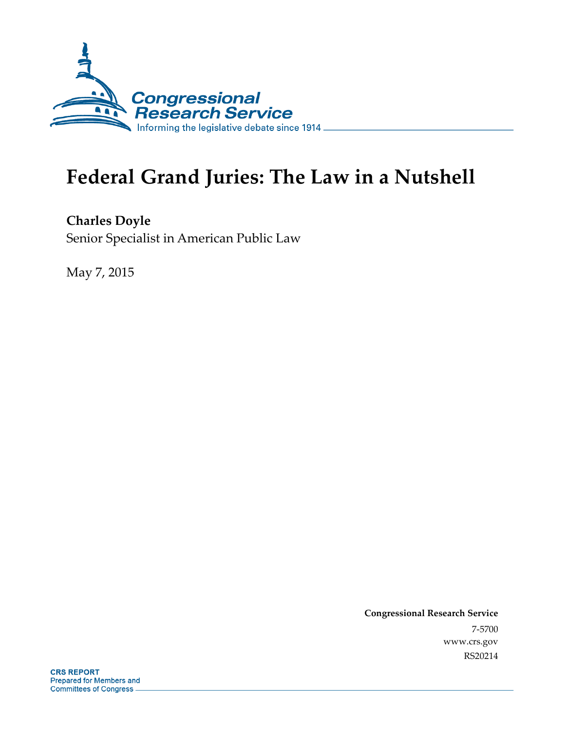

# **Federal Grand Juries: The Law in a Nutshell**

**Charles Doyle**  Senior Specialist in American Public Law

May 7, 2015

**Congressional Research Service**  7-5700 www.crs.gov RS20214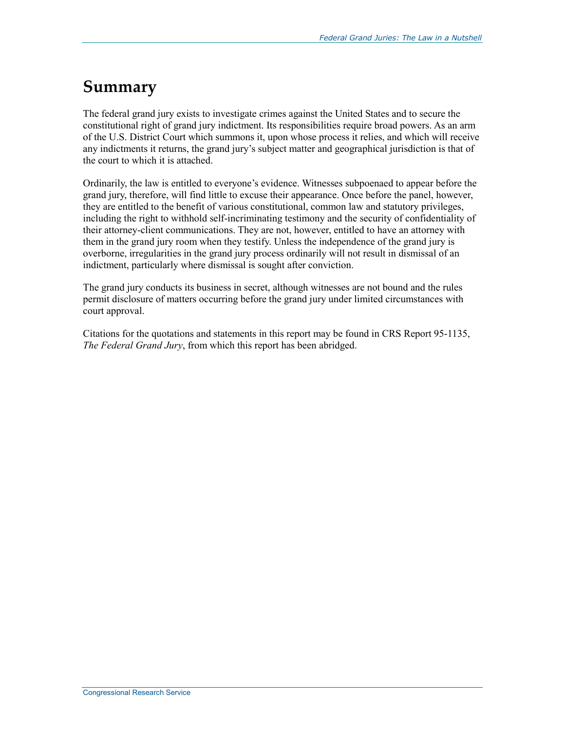#### **Summary**

The federal grand jury exists to investigate crimes against the United States and to secure the constitutional right of grand jury indictment. Its responsibilities require broad powers. As an arm of the U.S. District Court which summons it, upon whose process it relies, and which will receive any indictments it returns, the grand jury's subject matter and geographical jurisdiction is that of the court to which it is attached.

Ordinarily, the law is entitled to everyone's evidence. Witnesses subpoenaed to appear before the grand jury, therefore, will find little to excuse their appearance. Once before the panel, however, they are entitled to the benefit of various constitutional, common law and statutory privileges, including the right to withhold self-incriminating testimony and the security of confidentiality of their attorney-client communications. They are not, however, entitled to have an attorney with them in the grand jury room when they testify. Unless the independence of the grand jury is overborne, irregularities in the grand jury process ordinarily will not result in dismissal of an indictment, particularly where dismissal is sought after conviction.

The grand jury conducts its business in secret, although witnesses are not bound and the rules permit disclosure of matters occurring before the grand jury under limited circumstances with court approval.

Citations for the quotations and statements in this report may be found in CRS Report 95-1135, *The Federal Grand Jury*, from which this report has been abridged.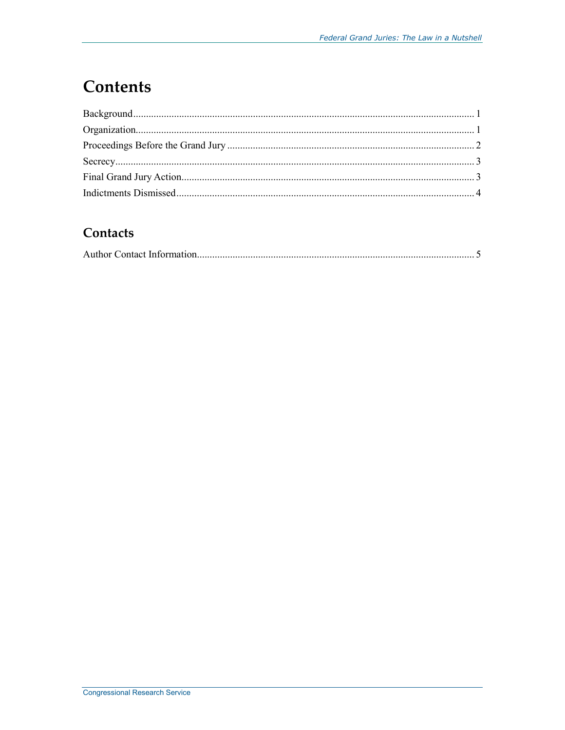## **Contents**

#### Contacts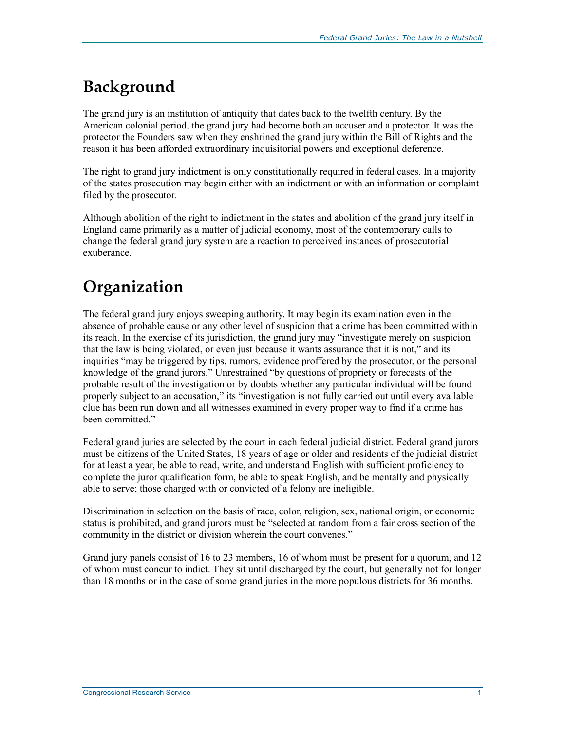## **Background**

The grand jury is an institution of antiquity that dates back to the twelfth century. By the American colonial period, the grand jury had become both an accuser and a protector. It was the protector the Founders saw when they enshrined the grand jury within the Bill of Rights and the reason it has been afforded extraordinary inquisitorial powers and exceptional deference.

The right to grand jury indictment is only constitutionally required in federal cases. In a majority of the states prosecution may begin either with an indictment or with an information or complaint filed by the prosecutor.

Although abolition of the right to indictment in the states and abolition of the grand jury itself in England came primarily as a matter of judicial economy, most of the contemporary calls to change the federal grand jury system are a reaction to perceived instances of prosecutorial exuberance.

## **Organization**

The federal grand jury enjoys sweeping authority. It may begin its examination even in the absence of probable cause or any other level of suspicion that a crime has been committed within its reach. In the exercise of its jurisdiction, the grand jury may "investigate merely on suspicion that the law is being violated, or even just because it wants assurance that it is not," and its inquiries "may be triggered by tips, rumors, evidence proffered by the prosecutor, or the personal knowledge of the grand jurors." Unrestrained "by questions of propriety or forecasts of the probable result of the investigation or by doubts whether any particular individual will be found properly subject to an accusation," its "investigation is not fully carried out until every available clue has been run down and all witnesses examined in every proper way to find if a crime has been committed."

Federal grand juries are selected by the court in each federal judicial district. Federal grand jurors must be citizens of the United States, 18 years of age or older and residents of the judicial district for at least a year, be able to read, write, and understand English with sufficient proficiency to complete the juror qualification form, be able to speak English, and be mentally and physically able to serve; those charged with or convicted of a felony are ineligible.

Discrimination in selection on the basis of race, color, religion, sex, national origin, or economic status is prohibited, and grand jurors must be "selected at random from a fair cross section of the community in the district or division wherein the court convenes."

Grand jury panels consist of 16 to 23 members, 16 of whom must be present for a quorum, and 12 of whom must concur to indict. They sit until discharged by the court, but generally not for longer than 18 months or in the case of some grand juries in the more populous districts for 36 months.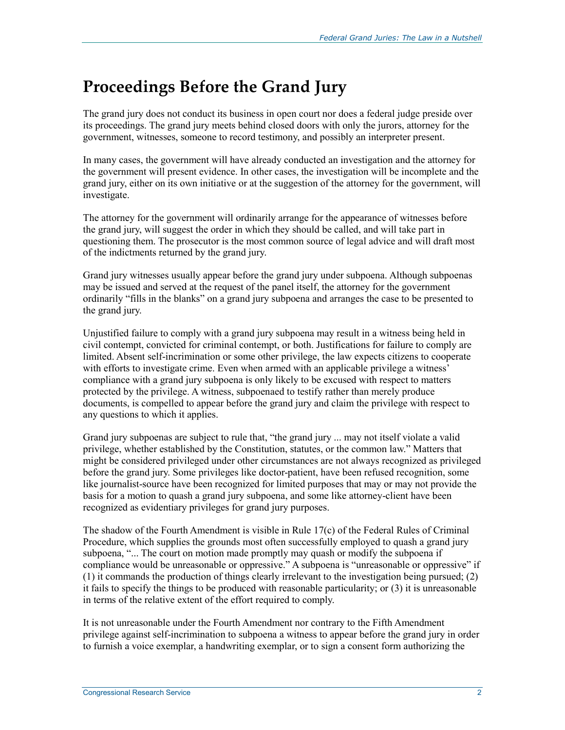### **Proceedings Before the Grand Jury**

The grand jury does not conduct its business in open court nor does a federal judge preside over its proceedings. The grand jury meets behind closed doors with only the jurors, attorney for the government, witnesses, someone to record testimony, and possibly an interpreter present.

In many cases, the government will have already conducted an investigation and the attorney for the government will present evidence. In other cases, the investigation will be incomplete and the grand jury, either on its own initiative or at the suggestion of the attorney for the government, will investigate.

The attorney for the government will ordinarily arrange for the appearance of witnesses before the grand jury, will suggest the order in which they should be called, and will take part in questioning them. The prosecutor is the most common source of legal advice and will draft most of the indictments returned by the grand jury.

Grand jury witnesses usually appear before the grand jury under subpoena. Although subpoenas may be issued and served at the request of the panel itself, the attorney for the government ordinarily "fills in the blanks" on a grand jury subpoena and arranges the case to be presented to the grand jury.

Unjustified failure to comply with a grand jury subpoena may result in a witness being held in civil contempt, convicted for criminal contempt, or both. Justifications for failure to comply are limited. Absent self-incrimination or some other privilege, the law expects citizens to cooperate with efforts to investigate crime. Even when armed with an applicable privilege a witness' compliance with a grand jury subpoena is only likely to be excused with respect to matters protected by the privilege. A witness, subpoenaed to testify rather than merely produce documents, is compelled to appear before the grand jury and claim the privilege with respect to any questions to which it applies.

Grand jury subpoenas are subject to rule that, "the grand jury ... may not itself violate a valid privilege, whether established by the Constitution, statutes, or the common law." Matters that might be considered privileged under other circumstances are not always recognized as privileged before the grand jury. Some privileges like doctor-patient, have been refused recognition, some like journalist-source have been recognized for limited purposes that may or may not provide the basis for a motion to quash a grand jury subpoena, and some like attorney-client have been recognized as evidentiary privileges for grand jury purposes.

The shadow of the Fourth Amendment is visible in Rule 17(c) of the Federal Rules of Criminal Procedure, which supplies the grounds most often successfully employed to quash a grand jury subpoena, "... The court on motion made promptly may quash or modify the subpoena if compliance would be unreasonable or oppressive." A subpoena is "unreasonable or oppressive" if (1) it commands the production of things clearly irrelevant to the investigation being pursued; (2) it fails to specify the things to be produced with reasonable particularity; or (3) it is unreasonable in terms of the relative extent of the effort required to comply.

It is not unreasonable under the Fourth Amendment nor contrary to the Fifth Amendment privilege against self-incrimination to subpoena a witness to appear before the grand jury in order to furnish a voice exemplar, a handwriting exemplar, or to sign a consent form authorizing the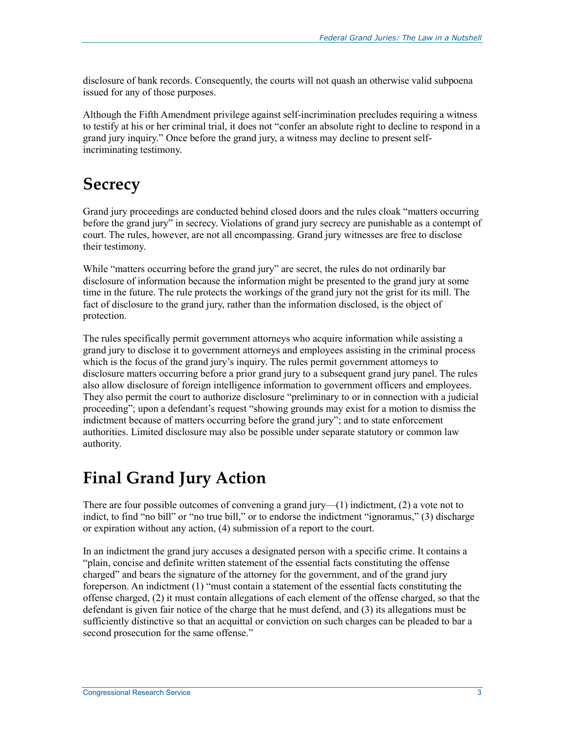disclosure of bank records. Consequently, the courts will not quash an otherwise valid subpoena issued for any of those purposes.

Although the Fifth Amendment privilege against self-incrimination precludes requiring a witness to testify at his or her criminal trial, it does not "confer an absolute right to decline to respond in a grand jury inquiry." Once before the grand jury, a witness may decline to present selfincriminating testimony.

### **Secrecy**

Grand jury proceedings are conducted behind closed doors and the rules cloak "matters occurring before the grand jury" in secrecy. Violations of grand jury secrecy are punishable as a contempt of court. The rules, however, are not all encompassing. Grand jury witnesses are free to disclose their testimony.

While "matters occurring before the grand jury" are secret, the rules do not ordinarily bar disclosure of information because the information might be presented to the grand jury at some time in the future. The rule protects the workings of the grand jury not the grist for its mill. The fact of disclosure to the grand jury, rather than the information disclosed, is the object of protection.

The rules specifically permit government attorneys who acquire information while assisting a grand jury to disclose it to government attorneys and employees assisting in the criminal process which is the focus of the grand jury's inquiry. The rules permit government attorneys to disclosure matters occurring before a prior grand jury to a subsequent grand jury panel. The rules also allow disclosure of foreign intelligence information to government officers and employees. They also permit the court to authorize disclosure "preliminary to or in connection with a judicial proceeding"; upon a defendant's request "showing grounds may exist for a motion to dismiss the indictment because of matters occurring before the grand jury"; and to state enforcement authorities. Limited disclosure may also be possible under separate statutory or common law authority.

#### **Final Grand Jury Action**

There are four possible outcomes of convening a grand jury—(1) indictment, (2) a vote not to indict, to find "no bill" or "no true bill," or to endorse the indictment "ignoramus," (3) discharge or expiration without any action, (4) submission of a report to the court.

In an indictment the grand jury accuses a designated person with a specific crime. It contains a "plain, concise and definite written statement of the essential facts constituting the offense charged" and bears the signature of the attorney for the government, and of the grand jury foreperson. An indictment (1) "must contain a statement of the essential facts constituting the offense charged, (2) it must contain allegations of each element of the offense charged, so that the defendant is given fair notice of the charge that he must defend, and (3) its allegations must be sufficiently distinctive so that an acquittal or conviction on such charges can be pleaded to bar a second prosecution for the same offense."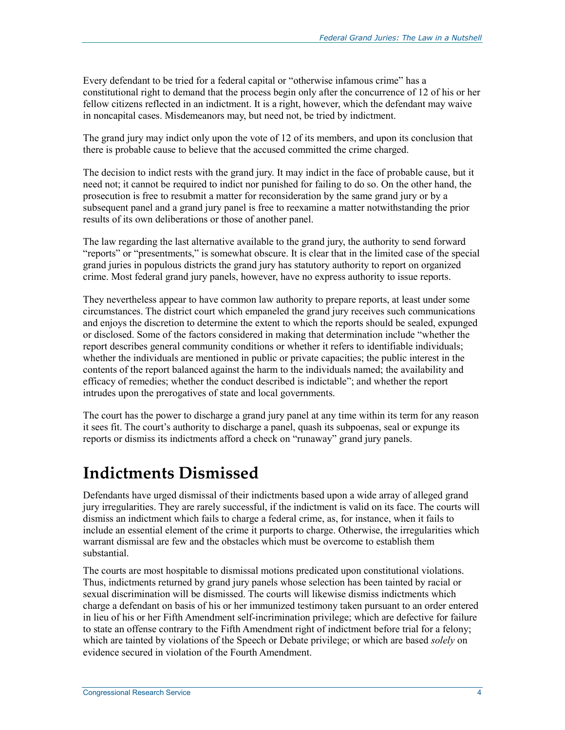Every defendant to be tried for a federal capital or "otherwise infamous crime" has a constitutional right to demand that the process begin only after the concurrence of 12 of his or her fellow citizens reflected in an indictment. It is a right, however, which the defendant may waive in noncapital cases. Misdemeanors may, but need not, be tried by indictment.

The grand jury may indict only upon the vote of 12 of its members, and upon its conclusion that there is probable cause to believe that the accused committed the crime charged.

The decision to indict rests with the grand jury. It may indict in the face of probable cause, but it need not; it cannot be required to indict nor punished for failing to do so. On the other hand, the prosecution is free to resubmit a matter for reconsideration by the same grand jury or by a subsequent panel and a grand jury panel is free to reexamine a matter notwithstanding the prior results of its own deliberations or those of another panel.

The law regarding the last alternative available to the grand jury, the authority to send forward "reports" or "presentments," is somewhat obscure. It is clear that in the limited case of the special grand juries in populous districts the grand jury has statutory authority to report on organized crime. Most federal grand jury panels, however, have no express authority to issue reports.

They nevertheless appear to have common law authority to prepare reports, at least under some circumstances. The district court which empaneled the grand jury receives such communications and enjoys the discretion to determine the extent to which the reports should be sealed, expunged or disclosed. Some of the factors considered in making that determination include "whether the report describes general community conditions or whether it refers to identifiable individuals; whether the individuals are mentioned in public or private capacities; the public interest in the contents of the report balanced against the harm to the individuals named; the availability and efficacy of remedies; whether the conduct described is indictable"; and whether the report intrudes upon the prerogatives of state and local governments.

The court has the power to discharge a grand jury panel at any time within its term for any reason it sees fit. The court's authority to discharge a panel, quash its subpoenas, seal or expunge its reports or dismiss its indictments afford a check on "runaway" grand jury panels.

#### **Indictments Dismissed**

Defendants have urged dismissal of their indictments based upon a wide array of alleged grand jury irregularities. They are rarely successful, if the indictment is valid on its face. The courts will dismiss an indictment which fails to charge a federal crime, as, for instance, when it fails to include an essential element of the crime it purports to charge. Otherwise, the irregularities which warrant dismissal are few and the obstacles which must be overcome to establish them substantial.

The courts are most hospitable to dismissal motions predicated upon constitutional violations. Thus, indictments returned by grand jury panels whose selection has been tainted by racial or sexual discrimination will be dismissed. The courts will likewise dismiss indictments which charge a defendant on basis of his or her immunized testimony taken pursuant to an order entered in lieu of his or her Fifth Amendment self-incrimination privilege; which are defective for failure to state an offense contrary to the Fifth Amendment right of indictment before trial for a felony; which are tainted by violations of the Speech or Debate privilege; or which are based *solely* on evidence secured in violation of the Fourth Amendment.